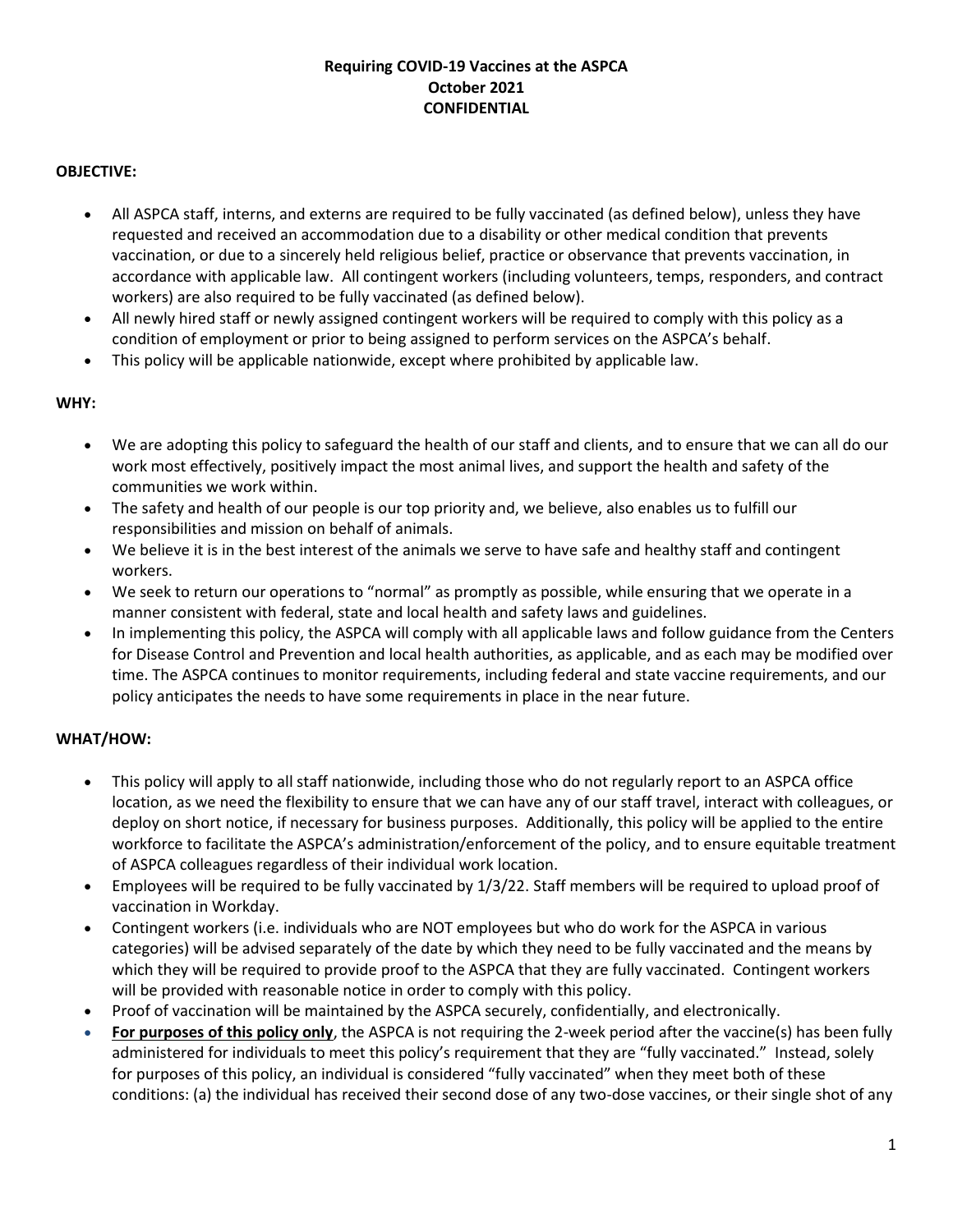# **Requiring COVID-19 Vaccines at the ASPCA October 2021 CONFIDENTIAL**

## **OBJECTIVE:**

- All ASPCA staff, interns, and externs are required to be fully vaccinated (as defined below), unless they have requested and received an accommodation due to a disability or other medical condition that prevents vaccination, or due to a sincerely held religious belief, practice or observance that prevents vaccination, in accordance with applicable law. All contingent workers (including volunteers, temps, responders, and contract workers) are also required to be fully vaccinated (as defined below).
- All newly hired staff or newly assigned contingent workers will be required to comply with this policy as a condition of employment or prior to being assigned to perform services on the ASPCA's behalf.
- This policy will be applicable nationwide, except where prohibited by applicable law.

### **WHY:**

- We are adopting this policy to safeguard the health of our staff and clients, and to ensure that we can all do our work most effectively, positively impact the most animal lives, and support the health and safety of the communities we work within.
- The safety and health of our people is our top priority and, we believe, also enables us to fulfill our responsibilities and mission on behalf of animals.
- We believe it is in the best interest of the animals we serve to have safe and healthy staff and contingent workers.
- We seek to return our operations to "normal" as promptly as possible, while ensuring that we operate in a manner consistent with federal, state and local health and safety laws and guidelines.
- In implementing this policy, the ASPCA will comply with all applicable laws and follow guidance from the Centers for Disease Control and Prevention and local health authorities, as applicable, and as each may be modified over time. The ASPCA continues to monitor requirements, including federal and state vaccine requirements, and our policy anticipates the needs to have some requirements in place in the near future.

# **WHAT/HOW:**

- This policy will apply to all staff nationwide, including those who do not regularly report to an ASPCA office location, as we need the flexibility to ensure that we can have any of our staff travel, interact with colleagues, or deploy on short notice, if necessary for business purposes. Additionally, this policy will be applied to the entire workforce to facilitate the ASPCA's administration/enforcement of the policy, and to ensure equitable treatment of ASPCA colleagues regardless of their individual work location.
- Employees will be required to be fully vaccinated by 1/3/22. Staff members will be required to upload proof of vaccination in Workday.
- Contingent workers (i.e. individuals who are NOT employees but who do work for the ASPCA in various categories) will be advised separately of the date by which they need to be fully vaccinated and the means by which they will be required to provide proof to the ASPCA that they are fully vaccinated. Contingent workers will be provided with reasonable notice in order to comply with this policy.
- Proof of vaccination will be maintained by the ASPCA securely, confidentially, and electronically.
- **For purposes of this policy only**, the ASPCA is not requiring the 2-week period after the vaccine(s) has been fully administered for individuals to meet this policy's requirement that they are "fully vaccinated." Instead, solely for purposes of this policy, an individual is considered "fully vaccinated" when they meet both of these conditions: (a) the individual has received their second dose of any two-dose vaccines, or their single shot of any